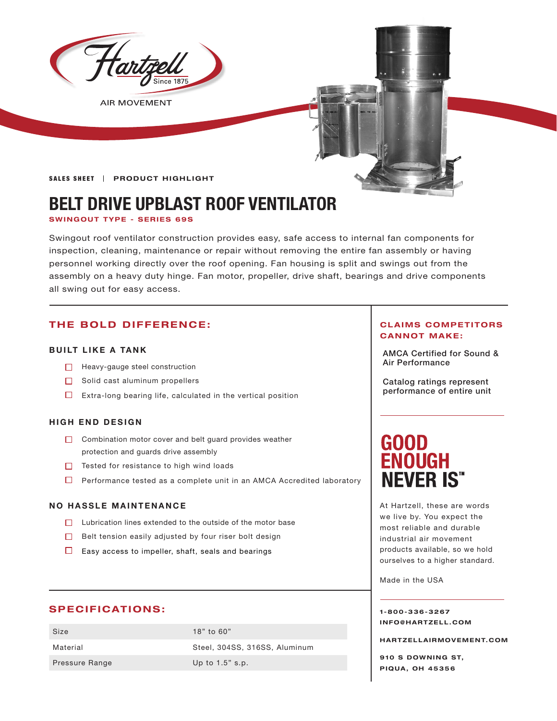

**AIR MOVEMENT** 

SALES SHEET | PRODUCT HIGHLIGHT

# **BELT DRIVE UPBLAST ROOF VENTILATOR**

#### **SWINGOUT TYPE - SERIES 69S**

Swingout roof ventilator construction provides easy, safe access to internal fan components for inspection, cleaning, maintenance or repair without removing the entire fan assembly or having personnel working directly over the roof opening. Fan housing is split and swings out from the assembly on a heavy duty hinge. Fan motor, propeller, drive shaft, bearings and drive components all swing out for easy access.

# **THE BOLD DIFFERENCE:**

#### **BUILT LIKE A TANK**

- □ Heavy-gauge steel construction and the set of the set of the set of the Heavy-gauge steel construction
- $\Box$  Solid cast aluminum propellers
- $\Box$  Extra-long bearing life, calculated in the vertical position

#### **HIGH END DESIGN**

- $\Box$  Combination motor cover and belt guard provides weather protection and guards drive assembly
- Tested for resistance to high wind loads
- $\Box$  Performance tested as a complete unit in an AMCA Accredited laboratory

#### **NO HASSLE MAINTENANCE**

- $\Box$  Lubrication lines extended to the outside of the motor base
- $\Box$  Belt tension easily adjusted by four riser bolt design
- $\Box$  Easy access to impeller, shaft, seals and bearings

### **SPECIFICATIONS:**

Size 18" to 60" Pressure Range Up to 1.5" s.p.

Material Steel, 304SS, 316SS, Aluminum

#### **CLAIMS COMPETITORS CANNOT MAKE:**

AMCA Certified for Sound &

Catalog ratings represent performance of entire unit

# **GOOD ENOUGH NEVER IS"**

At Hartzell, these are words we live by. You expect the most reliable and durable industrial air movement products available, so we hold ourselves to a higher standard.

Made in the USA

**1-800-336-3267 I N F O @ H A R T Z E L L . C OM** 

**HARTZELLA IRMOVEMENT.COM**

**910 S DOWNING ST, PIQUA, OH 45356**